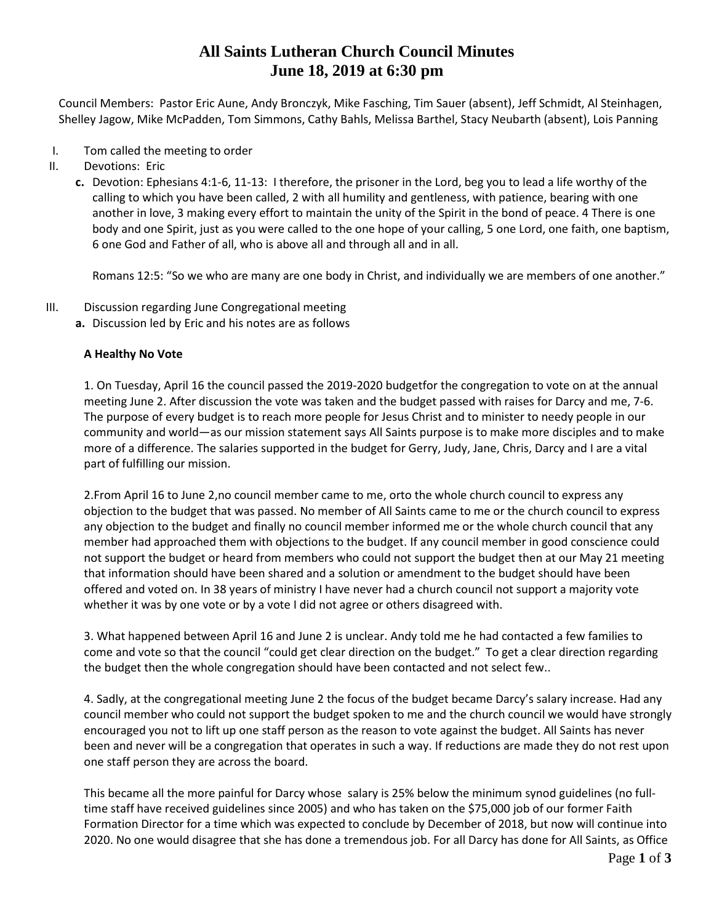## **All Saints Lutheran Church Council Minutes June 18, 2019 at 6:30 pm**

Council Members: Pastor Eric Aune, Andy Bronczyk, Mike Fasching, Tim Sauer (absent), Jeff Schmidt, Al Steinhagen, Shelley Jagow, Mike McPadden, Tom Simmons, Cathy Bahls, Melissa Barthel, Stacy Neubarth (absent), Lois Panning

- I. Tom called the meeting to order
- II. Devotions: Eric
	- **c.** Devotion: Ephesians 4:1-6, 11-13: I therefore, the prisoner in the Lord, beg you to lead a life worthy of the calling to which you have been called, 2 with all humility and gentleness, with patience, bearing with one another in love, 3 making every effort to maintain the unity of the Spirit in the bond of peace. 4 There is one body and one Spirit, just as you were called to the one hope of your calling, 5 one Lord, one faith, one baptism, 6 one God and Father of all, who is above all and through all and in all.

Romans 12:5: "So we who are many are one body in Christ, and individually we are members of one another."

- III. Discussion regarding June Congregational meeting
	- **a.** Discussion led by Eric and his notes are as follows

### **A Healthy No Vote**

1. On Tuesday, April 16 the council passed the 2019-2020 budgetfor the congregation to vote on at the annual meeting June 2. After discussion the vote was taken and the budget passed with raises for Darcy and me, 7-6. The purpose of every budget is to reach more people for Jesus Christ and to minister to needy people in our community and world—as our mission statement says All Saints purpose is to make more disciples and to make more of a difference. The salaries supported in the budget for Gerry, Judy, Jane, Chris, Darcy and I are a vital part of fulfilling our mission.

2.From April 16 to June 2,no council member came to me, orto the whole church council to express any objection to the budget that was passed. No member of All Saints came to me or the church council to express any objection to the budget and finally no council member informed me or the whole church council that any member had approached them with objections to the budget. If any council member in good conscience could not support the budget or heard from members who could not support the budget then at our May 21 meeting that information should have been shared and a solution or amendment to the budget should have been offered and voted on. In 38 years of ministry I have never had a church council not support a majority vote whether it was by one vote or by a vote I did not agree or others disagreed with.

3. What happened between April 16 and June 2 is unclear. Andy told me he had contacted a few families to come and vote so that the council "could get clear direction on the budget." To get a clear direction regarding the budget then the whole congregation should have been contacted and not select few..

4. Sadly, at the congregational meeting June 2 the focus of the budget became Darcy's salary increase. Had any council member who could not support the budget spoken to me and the church council we would have strongly encouraged you not to lift up one staff person as the reason to vote against the budget. All Saints has never been and never will be a congregation that operates in such a way. If reductions are made they do not rest upon one staff person they are across the board.

This became all the more painful for Darcy whose salary is 25% below the minimum synod guidelines (no fulltime staff have received guidelines since 2005) and who has taken on the \$75,000 job of our former Faith Formation Director for a time which was expected to conclude by December of 2018, but now will continue into 2020. No one would disagree that she has done a tremendous job. For all Darcy has done for All Saints, as Office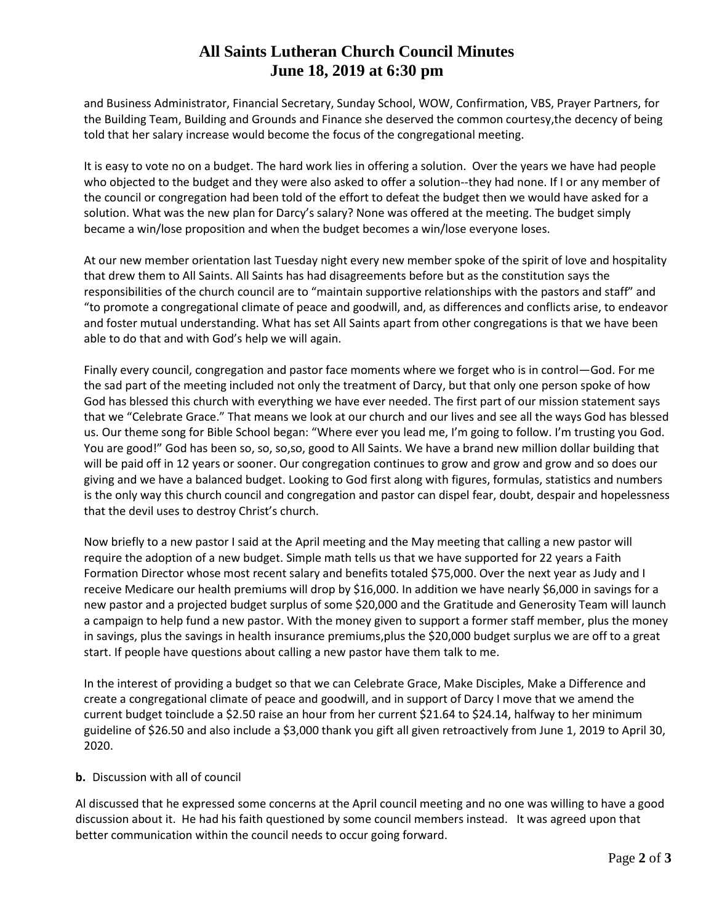# **All Saints Lutheran Church Council Minutes June 18, 2019 at 6:30 pm**

and Business Administrator, Financial Secretary, Sunday School, WOW, Confirmation, VBS, Prayer Partners, for the Building Team, Building and Grounds and Finance she deserved the common courtesy,the decency of being told that her salary increase would become the focus of the congregational meeting.

It is easy to vote no on a budget. The hard work lies in offering a solution. Over the years we have had people who objected to the budget and they were also asked to offer a solution--they had none. If I or any member of the council or congregation had been told of the effort to defeat the budget then we would have asked for a solution. What was the new plan for Darcy's salary? None was offered at the meeting. The budget simply became a win/lose proposition and when the budget becomes a win/lose everyone loses.

At our new member orientation last Tuesday night every new member spoke of the spirit of love and hospitality that drew them to All Saints. All Saints has had disagreements before but as the constitution says the responsibilities of the church council are to "maintain supportive relationships with the pastors and staff" and "to promote a congregational climate of peace and goodwill, and, as differences and conflicts arise, to endeavor and foster mutual understanding. What has set All Saints apart from other congregations is that we have been able to do that and with God's help we will again.

Finally every council, congregation and pastor face moments where we forget who is in control—God. For me the sad part of the meeting included not only the treatment of Darcy, but that only one person spoke of how God has blessed this church with everything we have ever needed. The first part of our mission statement says that we "Celebrate Grace." That means we look at our church and our lives and see all the ways God has blessed us. Our theme song for Bible School began: "Where ever you lead me, I'm going to follow. I'm trusting you God. You are good!" God has been so, so, so,so, good to All Saints. We have a brand new million dollar building that will be paid off in 12 years or sooner. Our congregation continues to grow and grow and grow and so does our giving and we have a balanced budget. Looking to God first along with figures, formulas, statistics and numbers is the only way this church council and congregation and pastor can dispel fear, doubt, despair and hopelessness that the devil uses to destroy Christ's church.

Now briefly to a new pastor I said at the April meeting and the May meeting that calling a new pastor will require the adoption of a new budget. Simple math tells us that we have supported for 22 years a Faith Formation Director whose most recent salary and benefits totaled \$75,000. Over the next year as Judy and I receive Medicare our health premiums will drop by \$16,000. In addition we have nearly \$6,000 in savings for a new pastor and a projected budget surplus of some \$20,000 and the Gratitude and Generosity Team will launch a campaign to help fund a new pastor. With the money given to support a former staff member, plus the money in savings, plus the savings in health insurance premiums,plus the \$20,000 budget surplus we are off to a great start. If people have questions about calling a new pastor have them talk to me.

In the interest of providing a budget so that we can Celebrate Grace, Make Disciples, Make a Difference and create a congregational climate of peace and goodwill, and in support of Darcy I move that we amend the current budget toinclude a \$2.50 raise an hour from her current \$21.64 to \$24.14, halfway to her minimum guideline of \$26.50 and also include a \$3,000 thank you gift all given retroactively from June 1, 2019 to April 30, 2020.

### **b.** Discussion with all of council

Al discussed that he expressed some concerns at the April council meeting and no one was willing to have a good discussion about it. He had his faith questioned by some council members instead. It was agreed upon that better communication within the council needs to occur going forward.